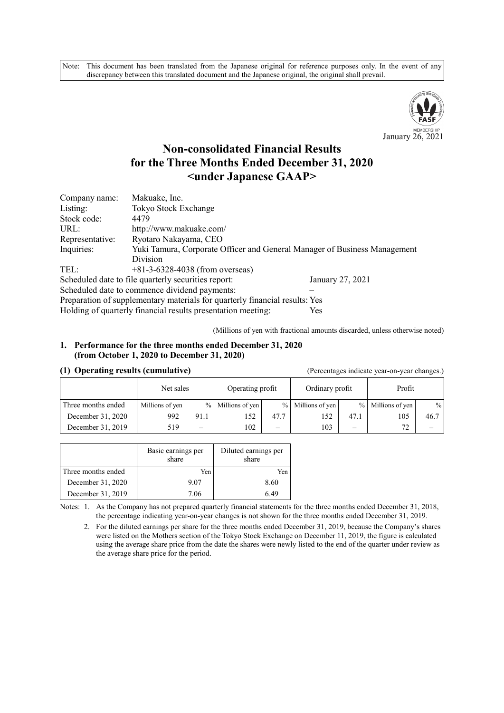Note: This document has been translated from the Japanese original for reference purposes only. In the event of any discrepancy between this translated document and the Japanese original, the original shall prevail.



# **Non-consolidated Financial Results for the Three Months Ended December 31, 2020 <under Japanese GAAP>**

| Company name:                                                               | Makuake, Inc.                                                             |  |  |  |  |  |
|-----------------------------------------------------------------------------|---------------------------------------------------------------------------|--|--|--|--|--|
| Listing:                                                                    | Tokyo Stock Exchange                                                      |  |  |  |  |  |
| Stock code:                                                                 | 4479                                                                      |  |  |  |  |  |
| URL:                                                                        | http://www.makuake.com/                                                   |  |  |  |  |  |
| Representative:                                                             | Ryotaro Nakayama, CEO                                                     |  |  |  |  |  |
| Inquiries:                                                                  | Yuki Tamura, Corporate Officer and General Manager of Business Management |  |  |  |  |  |
|                                                                             | Division                                                                  |  |  |  |  |  |
| TEL:                                                                        | $+81-3-6328-4038$ (from overseas)                                         |  |  |  |  |  |
| Scheduled date to file quarterly securities report:<br>January 27, 2021     |                                                                           |  |  |  |  |  |
| Scheduled date to commence dividend payments:                               |                                                                           |  |  |  |  |  |
| Preparation of supplementary materials for quarterly financial results: Yes |                                                                           |  |  |  |  |  |
|                                                                             | Holding of quarterly financial results presentation meeting:<br>Yes       |  |  |  |  |  |

(Millions of yen with fractional amounts discarded, unless otherwise noted)

#### **1. Performance for the three months ended December 31, 2020 (from October 1, 2020 to December 31, 2020)**

#### **(1) Operating results (cumulative)** (Percentages indicate year-on-year changes.)

| -                  |                 |      |                   |                          |                   |               |                 |      |
|--------------------|-----------------|------|-------------------|--------------------------|-------------------|---------------|-----------------|------|
|                    | Net sales       |      | Operating profit  |                          | Ordinary profit   |               | Profit          |      |
| Three months ended | Millions of yen |      | % Millions of yen |                          | % Millions of yen | $\frac{0}{0}$ | Millions of yen | $\%$ |
| December 31, 2020  | 992             | 91.1 | 152               | 47.7                     | 152               | 47.1          | 105             | 46.7 |
| December 31, 2019  | 519             | —    | 102               | $\overline{\phantom{0}}$ | 103               | –             | 72              |      |

|                    | Basic earnings per<br>share | Diluted earnings per<br>share |
|--------------------|-----------------------------|-------------------------------|
| Three months ended | Yen                         | Yen                           |
| December 31, 2020  | 9.07                        | 8.60                          |
| December 31, 2019  | 7.06                        | 6.49                          |

Notes: 1. As the Company has not prepared quarterly financial statements for the three months ended December 31, 2018, the percentage indicating year-on-year changes is not shown for the three months ended December 31, 2019.

2. For the diluted earnings per share for the three months ended December 31, 2019, because the Company's shares were listed on the Mothers section of the Tokyo Stock Exchange on December 11, 2019, the figure is calculated using the average share price from the date the shares were newly listed to the end of the quarter under review as the average share price for the period.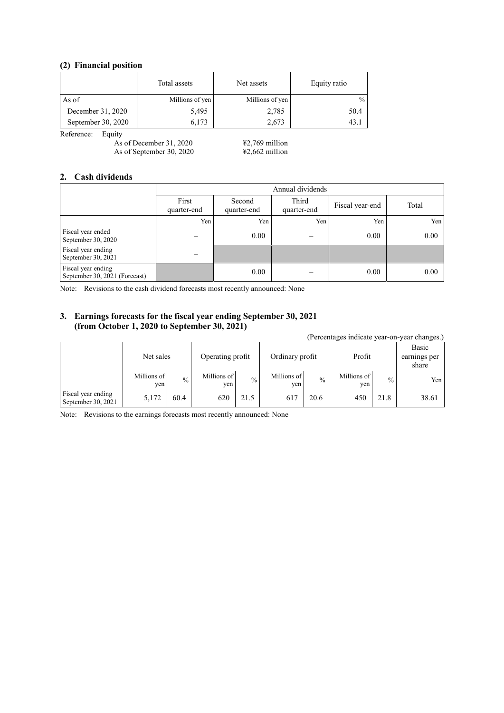## **(2) Financial position**

|                    | Total assets    | Net assets      | Equity ratio  |
|--------------------|-----------------|-----------------|---------------|
| As of              | Millions of yen | Millions of yen | $\frac{0}{0}$ |
| December 31, 2020  | 5,495           | 2,785           | 50.4          |
| September 30, 2020 | 6.173           | 2,673           | 43.           |

Reference: Equity

As of December 31, 2020  $\text{\textsterling}2,769$  million As of September 30, 2020  $\text{\#2,662}$  million

#### **2. Cash dividends**

|                                                     | Annual dividends     |                       |                      |                 |       |
|-----------------------------------------------------|----------------------|-----------------------|----------------------|-----------------|-------|
|                                                     | First<br>quarter-end | Second<br>quarter-end | Third<br>quarter-end | Fiscal year-end | Total |
|                                                     | Yen                  | Yen                   | Yen                  | Yen             | Yen   |
| Fiscal year ended<br>September 30, 2020             |                      | 0.00                  |                      | 0.00            | 0.00  |
| Fiscal year ending<br>September 30, 2021            |                      |                       |                      |                 |       |
| Fiscal year ending<br>September 30, 2021 (Forecast) |                      | 0.00                  |                      | 0.00            | 0.00  |

Note: Revisions to the cash dividend forecasts most recently announced: None

## **3. Earnings forecasts for the fiscal year ending September 30, 2021 (from October 1, 2020 to September 30, 2021)**

(Percentages indicate year-on-year changes.) Net sales Operating profit | Ordinary profit | Profit Basic earnings per share Millions of yen  $\frac{9}{6}$  Millions of yen  $\frac{1}{\sqrt{2}}$  Millions of yen  $\sim$  Millions of yen % Yen Fiscal year ending Fiscal year ending<br>September 30, 2021 5,172 60.4 620 21.5 617 20.6 450 21.8 38.61

Note: Revisions to the earnings forecasts most recently announced: None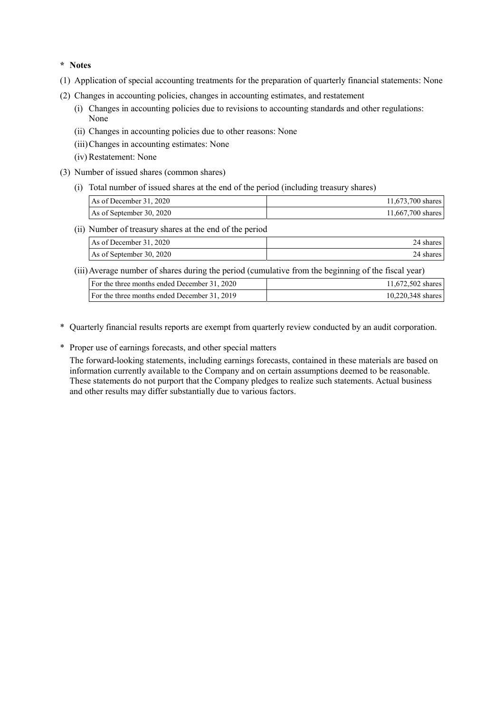**\* Notes** 

- (1) Application of special accounting treatments for the preparation of quarterly financial statements: None
- (2) Changes in accounting policies, changes in accounting estimates, and restatement
	- (i) Changes in accounting policies due to revisions to accounting standards and other regulations: None
	- (ii) Changes in accounting policies due to other reasons: None
	- (iii) Changes in accounting estimates: None
	- (iv) Restatement: None
- (3) Number of issued shares (common shares)
	- (i) Total number of issued shares at the end of the period (including treasury shares)

| As of December 31, 2020  | 11,673,700 shares |
|--------------------------|-------------------|
| As of September 30, 2020 | 11,667,700 shares |

(ii) Number of treasury shares at the end of the period

| As of December 31, 2020  | 24 shares |
|--------------------------|-----------|
| As of September 30, 2020 | 24 shares |

(iii) Average number of shares during the period (cumulative from the beginning of the fiscal year)

| For the three months ended December 31, 2020 | 11.672.502 shares   |
|----------------------------------------------|---------------------|
| For the three months ended December 31, 2019 | $10,220,348$ shares |

- \* Quarterly financial results reports are exempt from quarterly review conducted by an audit corporation.
- \* Proper use of earnings forecasts, and other special matters

The forward-looking statements, including earnings forecasts, contained in these materials are based on information currently available to the Company and on certain assumptions deemed to be reasonable. These statements do not purport that the Company pledges to realize such statements. Actual business and other results may differ substantially due to various factors.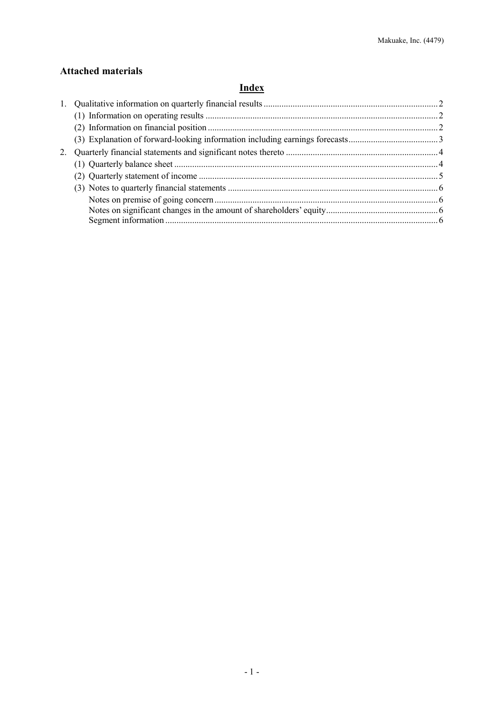# **Attached materials**

# **Index**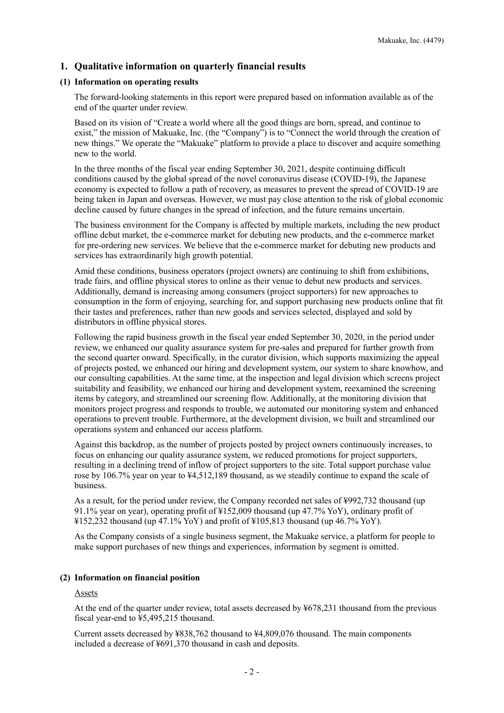## **1. Qualitative information on quarterly financial results**

## **(1) Information on operating results**

The forward-looking statements in this report were prepared based on information available as of the end of the quarter under review.

Based on its vision of "Create a world where all the good things are born, spread, and continue to exist," the mission of Makuake, Inc. (the "Company") is to "Connect the world through the creation of new things." We operate the "Makuake" platform to provide a place to discover and acquire something new to the world.

In the three months of the fiscal year ending September 30, 2021, despite continuing difficult conditions caused by the global spread of the novel coronavirus disease (COVID-19), the Japanese economy is expected to follow a path of recovery, as measures to prevent the spread of COVID-19 are being taken in Japan and overseas. However, we must pay close attention to the risk of global economic decline caused by future changes in the spread of infection, and the future remains uncertain.

The business environment for the Company is affected by multiple markets, including the new product offline debut market, the e-commerce market for debuting new products, and the e-commerce market for pre-ordering new services. We believe that the e-commerce market for debuting new products and services has extraordinarily high growth potential.

Amid these conditions, business operators (project owners) are continuing to shift from exhibitions, trade fairs, and offline physical stores to online as their venue to debut new products and services. Additionally, demand is increasing among consumers (project supporters) for new approaches to consumption in the form of enjoying, searching for, and support purchasing new products online that fit their tastes and preferences, rather than new goods and services selected, displayed and sold by distributors in offline physical stores.

Following the rapid business growth in the fiscal year ended September 30, 2020, in the period under review, we enhanced our quality assurance system for pre-sales and prepared for further growth from the second quarter onward. Specifically, in the curator division, which supports maximizing the appeal of projects posted, we enhanced our hiring and development system, our system to share knowhow, and our consulting capabilities. At the same time, at the inspection and legal division which screens project suitability and feasibility, we enhanced our hiring and development system, reexamined the screening items by category, and streamlined our screening flow. Additionally, at the monitoring division that monitors project progress and responds to trouble, we automated our monitoring system and enhanced operations to prevent trouble. Furthermore, at the development division, we built and streamlined our operations system and enhanced our access platform.

Against this backdrop, as the number of projects posted by project owners continuously increases, to focus on enhancing our quality assurance system, we reduced promotions for project supporters, resulting in a declining trend of inflow of project supporters to the site. Total support purchase value rose by 106.7% year on year to ¥4,512,189 thousand, as we steadily continue to expand the scale of business.

As a result, for the period under review, the Company recorded net sales of ¥992,732 thousand (up 91.1% year on year), operating profit of ¥152,009 thousand (up 47.7% YoY), ordinary profit of ¥152,232 thousand (up 47.1% YoY) and profit of ¥105,813 thousand (up 46.7% YoY).

As the Company consists of a single business segment, the Makuake service, a platform for people to make support purchases of new things and experiences, information by segment is omitted.

## **(2) Information on financial position**

Assets

At the end of the quarter under review, total assets decreased by ¥678,231 thousand from the previous fiscal year-end to ¥5,495,215 thousand.

Current assets decreased by ¥838,762 thousand to ¥4,809,076 thousand. The main components included a decrease of ¥691,370 thousand in cash and deposits.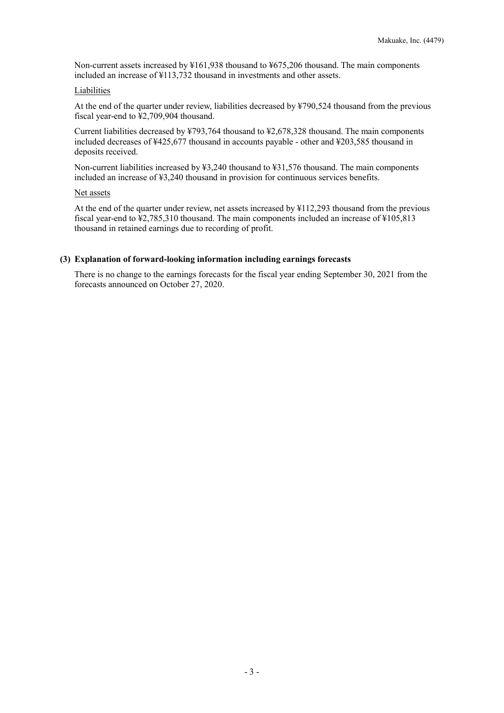Non-current assets increased by ¥161,938 thousand to ¥675,206 thousand. The main components included an increase of ¥113,732 thousand in investments and other assets.

#### Liabilities

At the end of the quarter under review, liabilities decreased by ¥790,524 thousand from the previous fiscal year-end to ¥2,709,904 thousand.

Current liabilities decreased by ¥793,764 thousand to ¥2,678,328 thousand. The main components included decreases of ¥425,677 thousand in accounts payable - other and ¥203,585 thousand in deposits received.

Non-current liabilities increased by ¥3,240 thousand to ¥31,576 thousand. The main components included an increase of ¥3,240 thousand in provision for continuous services benefits.

#### Net assets

At the end of the quarter under review, net assets increased by ¥112,293 thousand from the previous fiscal year-end to ¥2,785,310 thousand. The main components included an increase of ¥105,813 thousand in retained earnings due to recording of profit.

#### **(3) Explanation of forward-looking information including earnings forecasts**

There is no change to the earnings forecasts for the fiscal year ending September 30, 2021 from the forecasts announced on October 27, 2020.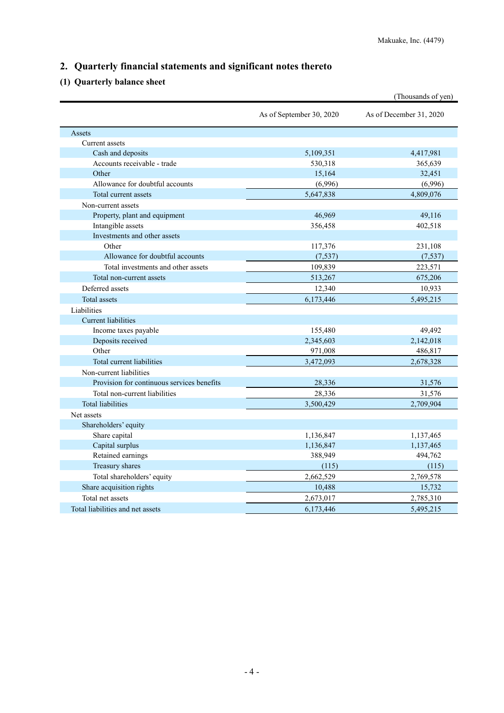# **2. Quarterly financial statements and significant notes thereto**

# **(1) Quarterly balance sheet**

|                                            |                          | (Thousands of yen)      |
|--------------------------------------------|--------------------------|-------------------------|
|                                            | As of September 30, 2020 | As of December 31, 2020 |
| Assets                                     |                          |                         |
| Current assets                             |                          |                         |
| Cash and deposits                          | 5,109,351                | 4,417,981               |
| Accounts receivable - trade                | 530,318                  | 365,639                 |
| Other                                      | 15,164                   | 32,451                  |
| Allowance for doubtful accounts            | (6,996)                  | (6,996)                 |
| Total current assets                       | 5,647,838                | 4,809,076               |
| Non-current assets                         |                          |                         |
| Property, plant and equipment              | 46,969                   | 49,116                  |
| Intangible assets                          | 356,458                  | 402,518                 |
| Investments and other assets               |                          |                         |
| Other                                      | 117,376                  | 231,108                 |
| Allowance for doubtful accounts            | (7, 537)                 | (7, 537)                |
| Total investments and other assets         | 109,839                  | 223,571                 |
| Total non-current assets                   | 513,267                  | 675,206                 |
| Deferred assets                            | 12,340                   | 10,933                  |
| <b>Total</b> assets                        | 6,173,446                | 5,495,215               |
| Liabilities                                |                          |                         |
| Current liabilities                        |                          |                         |
| Income taxes payable                       | 155,480                  | 49,492                  |
| Deposits received                          | 2,345,603                | 2,142,018               |
| Other                                      | 971,008                  | 486,817                 |
| Total current liabilities                  | 3,472,093                | 2,678,328               |
| Non-current liabilities                    |                          |                         |
| Provision for continuous services benefits | 28,336                   | 31,576                  |
| Total non-current liabilities              | 28,336                   | 31,576                  |
| <b>Total liabilities</b>                   | 3,500,429                | 2.709.904               |
| Net assets                                 |                          |                         |
| Shareholders' equity                       |                          |                         |
| Share capital                              | 1,136,847                | 1,137,465               |
| Capital surplus                            | 1,136,847                | 1,137,465               |
| Retained earnings                          | 388,949                  | 494,762                 |
| Treasury shares                            | (115)                    | (115)                   |
| Total shareholders' equity                 | 2,662,529                | 2,769,578               |
| Share acquisition rights                   | 10,488                   | 15,732                  |
| Total net assets                           | 2,673,017                | 2,785,310               |
| Total liabilities and net assets           | 6,173,446                | 5,495,215               |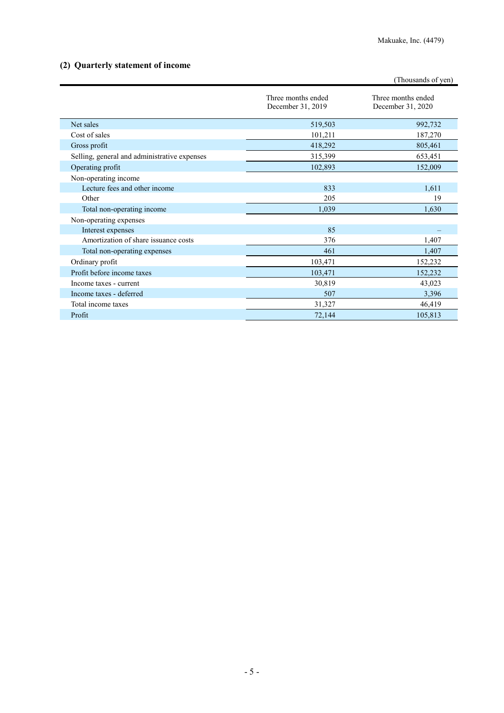# **(2) Quarterly statement of income**

|                                              |                                         | (Thousands of yen)                      |
|----------------------------------------------|-----------------------------------------|-----------------------------------------|
|                                              | Three months ended<br>December 31, 2019 | Three months ended<br>December 31, 2020 |
| Net sales                                    | 519,503                                 | 992,732                                 |
| Cost of sales                                | 101,211                                 | 187,270                                 |
| Gross profit                                 | 418,292                                 | 805,461                                 |
| Selling, general and administrative expenses | 315,399                                 | 653,451                                 |
| Operating profit                             | 102,893                                 | 152,009                                 |
| Non-operating income                         |                                         |                                         |
| Lecture fees and other income                | 833                                     | 1,611                                   |
| Other                                        | 205                                     | 19                                      |
| Total non-operating income                   | 1,039                                   | 1,630                                   |
| Non-operating expenses                       |                                         |                                         |
| Interest expenses                            | 85                                      |                                         |
| Amortization of share issuance costs         | 376                                     | 1,407                                   |
| Total non-operating expenses                 | 461                                     | 1,407                                   |
| Ordinary profit                              | 103,471                                 | 152,232                                 |
| Profit before income taxes                   | 103,471                                 | 152,232                                 |
| Income taxes - current                       | 30,819                                  | 43,023                                  |
| Income taxes - deferred                      | 507                                     | 3,396                                   |
| Total income taxes                           | 31,327                                  | 46,419                                  |
| Profit                                       | 72,144                                  | 105,813                                 |